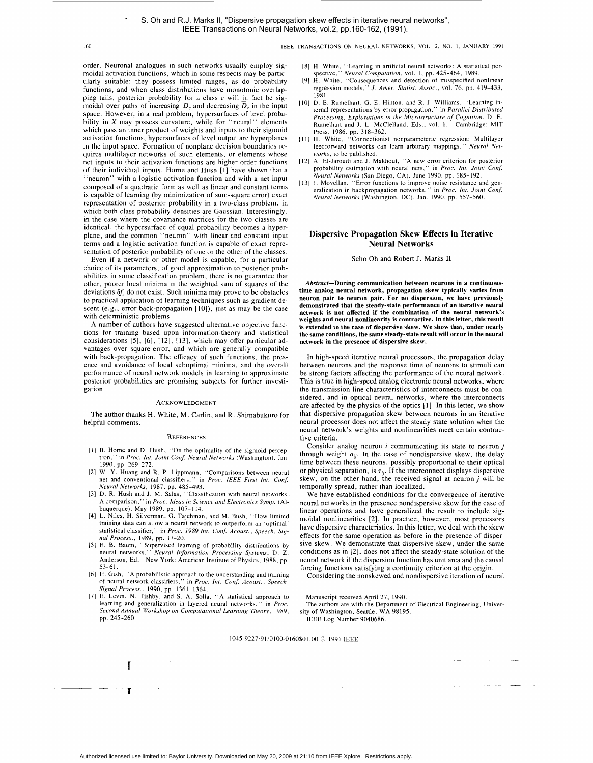# **I60** IEEE TRANSACTIONS ON NEURAL NETWORKS. VOL. **2,** NO. **I,** JANUARY **1991**

order. Neuronal analogues in such networks usually employ sigmoidal activation functions, which in some respects may be particularly suitable: they possess limited ranges, as do probability functions, and when class distributions have monotonic overlapping tails, posterior probability for a class **c** will in fact be sigmoidal over paths of increasing  $D_c$  and decreasing  $\overline{D}_c$  in the input space. However, in a real problem, hypersurfaces of level probability in *X* may possess curvature, while for "neural" elements which pass an inner product of weights and inputs to their sigmoid activation functions, hypersurfaces of level output are hyperplanes in the input space. Formation of nonplane decision boundaries requires multilayer networks of such elements, or elements whose net inputs to their activation functions are higher order functions of their individual inputs. Home and Hush [I] have shown that a "neuron" with a logistic activation function and with a net input composed of a quadratic form as well as linear and constant terms is capable of learning (by minimization of sum-square error) exact representation of posterior probability in a two-class problem, in which both class probability densities are Gaussian. Interestingly, in the case where the covariance matrices for the two classes are identical, the hypersurface of equal probability becomes a hyperplane, and the common "neuron" with linear and constant input terms and a logistic activation function is capable of exact representation of posterior probability of one or the other of the classes.

Even if a network or other model is capable, for a particular choice of its parameters, of good approximation to posterior probabilities in some classification problem, there is no guarantee that other, poorer local minima in the weighted sum of squares of the deviations  $\delta f_c$  do not exist. Such minima may prove to be obstacles to practical application of learning techniques such as gradient descent (e.g., error back-propagation [10]), just as may be the case with deterministic problems.

**A** number of authors have suggested alternative objective functions for training based upon information-theory and statistical considerations *[5], [6],* **[12],** [13], which may offer particular advantages over square-error, and which are generally compatible with back-propagation. The efficacy of such functions, the presence and avoidance of local suboptimal minima, and the overall performance of neural network models in learning to approximate posterior probabilities are promising subjects for further investigation.

#### ACKNOWLEDGMENT

The author thanks H. White, M. Carlin, and R. Shimabukuro for helpful comments.

#### **REFERENCES**

- [I] B. Home and D. Hush, "On the optimality of the sigmoid perceptron," in *Proc. ht. Joint Conf. Neural Networks* (Washington), Jan. 1990, pp. 269-272.
- 12] W. Y. Huang and R. P. Lippmann, "Comparisons between neural net and conventional classifiers," in *Proc. IEEE First Int. Conf. Neural Networks,* 1987, pp. 485-493.
- [3] D. R. Hush and **J.** M. Salas, "Classification with neural networks: A comparison," in *Proc. Ideas in Science and Electronics Symp.* (Albuquerque), May 1989, pp. 107-1 14.
- **[4]** L. Niles, H. Silverman. 0. Tajchman. and M. Bush, "How limited training data can allow a neural network to outperform an 'optimal' statistical classifier," in *Proc. 1989 Int. Conf. Acoust., Speech, Signal Process.,* 1989, pp. 17-20.
- IS] E. B. Baum. "Supervised learning of probability distributions by neural networks," *Neural Information Processing System.* D. Z. Anderson, Ed. New York: American Institute of Physics, 1988, pp. 53-61.
- [6] H. Gish, "A probabilistic approach to the understanding and training of neural network classifiers," in Proc. Int. Conf. Acoust., Speech, *Signal Process.,* 1990. pp. 1361-1364.
- 171 E. Levin, N. Tishby, and **S.** A. Solla. "A statistical approach to learning and generalization in layered neural networks," in *Proc. Second Annual Workshop on Computarional Learning Theory,* 1989, pp. 245-260.

**T** 

- [8] H. White, "Learning in artificial neural networks: **A** statistical per-spective." *Neural Computation,* vol. I. pp. 425-464, 1989.
- [9] H. White, "Consequences and detection of misspecified nonlinear regression models." *J. Amer. Statist. Assoc.,* vol. 76, pp. 419-433, 1981.
- [IO] D. E. Rumelhart. G. E. Hinton, and R. J. Williams, "Learning internal representations by error propagation," in *Parallel Disrribured Processing, Explorations in the Microstructure* of *Cognition,* D. E. Rumelhart and **J.** L. McClelland, Eds., vol. **1.** Cambridge: MIT
- Press, 1986. pp. 318-362. I I] H. White, "Connectionist nonparameteric regression: Multilayer feedforward networks can learn arbitrary mappings," *Neural Networks,* to be published.
- 121 A. El-Jaroudi and J. Makhoul, **"A** new error criterion for posterior probability estimation with neural nets," in *Proc. Int. Joint Conf. Neural Networks* (San Diego, CA). June 1990, pp. 185-192.
- 13] J. Movellan, "Error functions to improve noise resistance and generalization in backpropagation networks," in *Proc. Int. Joint Conf. Neural Networks* (Washington. DC), Jan. 1990. pp. 557-560.

## **Dispersive Propagation Skew Effects in Iterative Neural Networks**

Seho Oh and Robert J. Marks **I1** 

**Abstract-During communication between neurons in a continuoustime analog neural network, propagation skew typically varies from neuron pair to neuron pair. For no dispersion, we have previously demonstrated that the steady-state performance of an iterative neural network is not affected if the combination of the neural network's weights and neural nonlinearity is contractive. In this letter, this result is extended to the case of dispersive skew. We show that, under nearly the same conditions, the same steady-state result will occur in the neural network in the presence of dispersive skew.** 

In high-speed iterative neural processors, the propagation delay between neurons and the response time of neurons to stimuli can be strong factors affecting the performance of the neural network. This is true in high-speed analog electronic neural networks, where the transmission line characteristics of interconnects must be considered, and in optical neural networks, where the interconnects are affected by the physics of the optics [1]. In this letter, we show that dispersive propagation skew between neurons in an iterative neural processor does not affect the steady-state solution when the neural network's weights and nonlinearities meet certain contractive criteria.

Consider analog neuron *i* communicating its state to neuron *j*  through weight  $a_{ii}$ . In the case of nondispersive skew, the delay time between these neurons, possibly proportional to their optical or physical separation, is  $\tau_{ij}$ . If the interconnect displays dispersive skew, on the other hand, the received signal at neuron j will be temporally spread, rather than localized.

We have established conditions for the convergence of iterative neural networks in the presence nondispersive skew for the case of linear operations and have generalized the result to include sigmoidal nonlinearities *[2].* In practice, however, most processors have dispersive characteristics. In this letter, we deal with the skew effects for the same operation as before in the presence of dispersive skew. We demonstrate that dispersive skew, under the same conditions as in *[2],* does not affect the steady-state solution of the neural network if the dispersion function has unit area and the causal forcing functions satisfying a continuity criterion at the origin.

Considering the nonskewed and nondispersive iteration of neural

Manuscript received April 27, 1990.

The authors are with the Department of Electrical Engineering, University of Washington, Seattle, WA 98195. IEEE Log Number 9040686.

1045-9227191/0100-0160\$01.00 *G* 1991 IEEE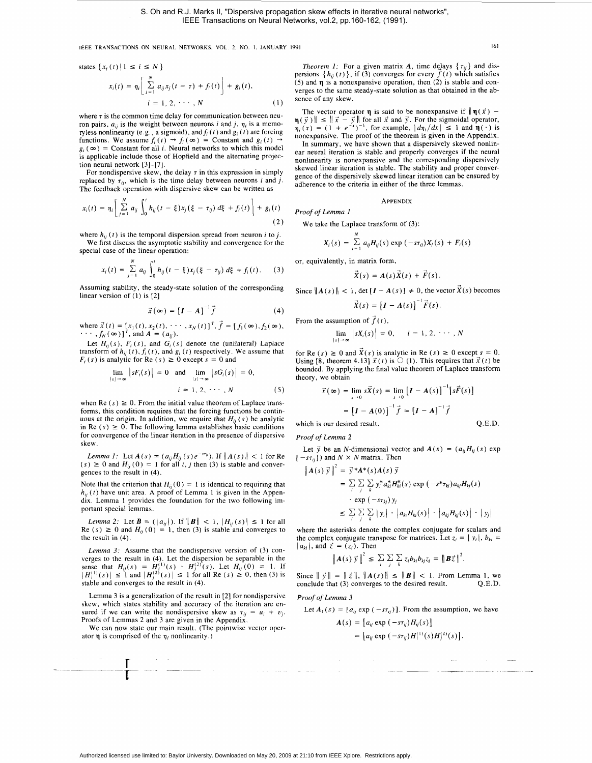**IEEE TRANSACTIONS ON NEURAL NETWORKS.** VOL. 2. **NO. I. JANUARY 1991 161** 

states 
$$
\{x_i(t)\mid 1 \le i \le N\}
$$
  

$$
x_i(t) = \eta_i \left[ \sum_{j=1}^N a_{ij} x_j(t - \tau) + f_i(t) \right] + g_i(t),
$$

$$
i = 1, 2, \dots, N
$$
(1)

where  $\tau$  is the common time delay for communication between neuron pairs,  $a_{ii}$  is the weight between neurons *i* and *j*,  $\eta_i$  is a memoryless nonlinearity (e.g., a sigmoid), and  $f_i(t)$  and  $g_i(t)$  are forcing functions. We assume  $f_i(t) \rightarrow f_i(\infty) =$  Constant and  $g_i(t)$   $g_i(\infty)$  = Constant for all *i*. Neural networks to which this model is applicable include those of Hopfield and the alternating projection neural network **[3]-[7].** 

For nondispersive skew, the delay  $\tau$  in this expression in simply replaced by  $\tau_{ii}$ , which is the time delay between neurons *i* and *j*. The feedback operation with dispersive skew can be written as

$$
x_i(t) = \eta_i \left[ \sum_{j=1}^N a_{ij} \int_0^t h_{ij}(t-\xi) x_j(\xi-\tau_{ij}) d\xi + f_i(t) \right] + g_i(t)
$$
\n(2)

where  $h_{ii}(t)$  is the temporal dispersion spread from neuron *i* to *i*. We first discuss the asymptotic stability and convergence for the

special case of the linear operation:  
\n
$$
x_i(t) = \sum_{j=1}^N a_{ij} \int_0^t h_{ij}(t - \xi) x_j (\xi - \tau_{ij}) d\xi + f_i(t).
$$
\n(3)

Assuming stability, the steady-state solution of the corresponding linear version of (1) is [2]

$$
\vec{x}(\infty) = [I - A]^{-1} \vec{f}
$$
 (4)

where  $\vec{x}(t) = [x_1(t), x_2(t), \dots, x_N(t)]^T$ ,  $\vec{f} = [f_1(\infty), f_2(\infty), \dots, f_N(\infty)]^T$ , and  $A = (a_{ij})$ .

Let  $H_{ii}(s)$ ,  $F_i(s)$ , and  $G_i(s)$  denote the (unilateral) Laplace transform of  $h_{ii}(t)$ ,  $f_i(t)$ , and  $g_i(t)$  respectively. We assume that  $F_i(s)$  is analytic for Re  $(s) \ge 0$  except  $s = 0$  and

$$
\lim_{|s| \to \infty} |sF_i(s)| = 0 \text{ and } \lim_{|s| \to \infty} |sG_i(s)| = 0,
$$
  

$$
i = 1, 2, \cdots, N
$$
 (5)

when Re  $(s) \ge 0$ . From the initial value theorem of Laplace transforms, this condition requires that the forcing functions be continuous at the origin. In addition, we require that  $H_{ii}(s)$  be analytic in Re  $(s) \ge 0$ . The following lemma establishes basic conditions for convergence of the linear iteration in the presence of dispersive skew.

*Lemma 1:* Let  $A(s) = (a_{ij}H_{ij}(s)e^{-sty})$ . If  $||A(s)|| < 1$  for Re  $(s) \ge 0$  and  $H_{ii}(0) = 1$  for all *i*, *j* then (3) is stable and convergences to the result in (4).

Note that the criterion that  $H_{ij}(0) = 1$  is identical to requiring that  $h_{ij}(t)$  have unit area. A proof of Lemma 1 is given in the Appendix. Lemma 1 provides the foundation for the two following important special lemmas.

*Lemma 2:* Let  $\mathbf{B} = (|a_{ij}|)$ . If  $||\mathbf{B}|| < 1$ ,  $|H_{ij}(s)| \le 1$  for all Re  $(s) \ge 0$  and  $H_{ii}(0) = 1$ , then (3) is stable and converges to the result in (4).

*Lemma 3:* Assume that the nondispersive version of (3) converges to the result in (4). Let the dispersion be separable in the sense that  $H_{ij}(s) = H_i^{(1)}(s) \cdot H_j^{(2)}(s)$ . Let  $H_{ij}(0) = 1$ . If  $|H_i^{(1)}(s)| \le 1$  and  $|H_j^{(2)}(s)| \le 1$  for all Re  $(s) \ge 0$ , then (3) is stable and converges to the result in (4).

Lemma 3 is a generalization of the result in *[2]* for nondispersive skew, which states stability and accuracy of the iteration are ensured if we can write the nondispersive skew as  $\tau_{ij} = u_i + v_j$ . Proofs of Lemmas *2* and 3 are given in the Appendix.

We can now state our main result. (The pointwise vector operator **q** is comprised of the  $\eta_i$  nonlinearity.)

**I----** 

- **-T** <sup>~</sup>

*Theorem 1:* For a given matrix **A**, time delays  $\{\tau_{ij}\}\$  and dispersions  ${h_{ij}(t)}$ , if (3) converges for every  $\hat{f}(t)$  which satisfies *(5)* and **q** is a nonexpansive operation, then *(2)* is stable and converges to the same steady-state solution as that obtained in the absence of any skew.

The vector operator **q** is said to be nonexpansive if  $\|\eta(\vec{x}) -$ The vector operator **q** is said to be nonexpansive if  $\|\mathbf{q}(x) - \mathbf{q}(\vec{y})\| \leq \|\vec{x} - \vec{y}\|$  for all  $\vec{x}$  and  $\vec{y}$ . For the sigmoidal operator,  $q(y)$   $\parallel$   $\leq$   $\parallel$   $x - y \parallel$  for all x and y. For the sigmodal operator,<br> $q_i(x) = (1 + e^{-x})^{-1}$ , for example,  $|d\eta_i/dx| \leq 1$  and  $\eta(\cdot)$  is nonexpansive. The proof of the theorem is given in the Appendix.

In summary, we have shown that a dispersively skewed nonlinear neural iteration is stable and properly converges if the neural nonlinearity is nonexpansive and the corresponding dispersively skewed linear iteration is stable. The stability and proper convergence of the dispersively skewed linear iteration can be ensured by adherence to the criteria in either of the three lemmas.

## APPENDIX

*Proof of Lemma 1* 

We take the Laplace transform of (3):

$$
X_i(s) = \sum_{i=1}^N a_{ij} H_{ij}(s) \exp(-s\tau_{ij}) X_j(s) + F_i(s)
$$

or, equivalently, in matrix form,

$$
\vec{X}(s) = A(s)\vec{X}(s) + \vec{F}(s).
$$

Since  $||A(s)|| < 1$ , det  $[I - A(s)] \neq 0$ , the vector  $\vec{X}(s)$  becomes

$$
\vec{X}(s) = \left[\boldsymbol{I} - \boldsymbol{A}(s)\right]^{-1} \vec{F}(s).
$$

From the assumption of  $\vec{f}(t)$ ,

$$
\lim_{|s|\to\infty} |sX_i(s)| = 0, \quad i=1, 2, \cdots, N
$$

for Re  $(s) \ge 0$  and  $\vec{X}(s)$  is analytic in Re  $(s) \ge 0$  except  $s = 0$ . Using [8, theorem 4.13]  $\vec{x}(t)$  is  $\bigcirc$  (1). This requires that  $\vec{x}(t)$  be bounded. By applying the final value theorem of Laplace transform theory, we obtain

$$
\vec{x}(\infty) = \lim_{s \to 0} s\vec{X}(s) = \lim_{s \to 0} [I - A(s)]^{-1} [s\vec{F}(s)]
$$

$$
= [I - A(0)]^{-1} \vec{f} = [I - A]^{-1} \vec{f}
$$
is our desired result. O.E.D.

which is our desired result.

*Proof of Lemma* **2** 

Let  $\vec{y}$  be an *N*-dimensional vector and  $\vec{A}(s) = (a_{ij}H_{ij}(s))$  exp  $[-s\tau_{ij}]$ ) and  $N \times N$  matrix. Then

$$
\begin{aligned} \left\| A(s) \, \vec{y} \, \right\|^2 \, &= \, \vec{y} \, * A^*(s) A(s) \, \vec{y} \\ &= \, \sum_i \sum_j \sum_j y_i^* a_{ki}^* H_{ki}^*(s) \, \exp \left( -s^* \tau_{ki} \right) a_{kj} H_{kj}(s) \\ &\quad \cdot \, \exp \left( -s \tau_{kj} \right) y_j \\ &\leq \, \sum_i \sum_j \sum_k \left| y_i \right| \, \cdot \, \left| a_{ki} H_{ki}(s) \right| \, \cdot \, \left| a_{kj} H_{kj}(s) \right| \, \cdot \, \left| y_j \right| \end{aligned}
$$

where the asterisks denote the complex conjugate for scalars and the complex conjugate transpose for matrices. Let  $z_i = |y_i|$ ,  $b_{ki} =$  $|a_{ki}|$ , and  $\vec{z} = (z_i)$ . Then

$$
\left\| \mathbf{A}(s) \, \vec{y} \, \right\|^2 \, \leq \, \sum_i \, \sum_j \, \sum_k z_i b_{ki} b_{kj} z_j = \left\| \mathbf{B} \vec{z} \, \right\|^2.
$$

Since  $\|\vec{y}\| = \|\vec{z}\|$ ,  $\|A(s)\| \le \|B\| < 1$ . From Lemma 1, we conclude that (3) converges to the desired result. O.E.D. conclude that  $(3)$  converges to the desired result.

*Proof* of *Lemma 3* 

Let 
$$
A_1(s) = [a_{ij} \exp(-s\tau_{ij})]
$$
. From the assumption, we have

$$
\begin{aligned} \mathbf{A}(s) &= \left[ a_{ij} \exp\left(-s\tau_{ij}\right) H_{ij}(s) \right] \\ &= \left[ a_{ij} \exp\left(-s\tau_{ij}\right) H_{i}^{(1)}(s) H_{j}^{(2)}(s) \right]. \end{aligned}
$$

 $\label{eq:3.1} \frac{1}{2} \lim_{\lambda \to 0} \frac{1}{\lambda} \left( \frac{1}{\lambda} \right) \left( \frac{1}{\lambda} \right) \left( \frac{1}{\lambda} \right) \left( \frac{1}{\lambda} \right) \left( \frac{1}{\lambda} \right)$